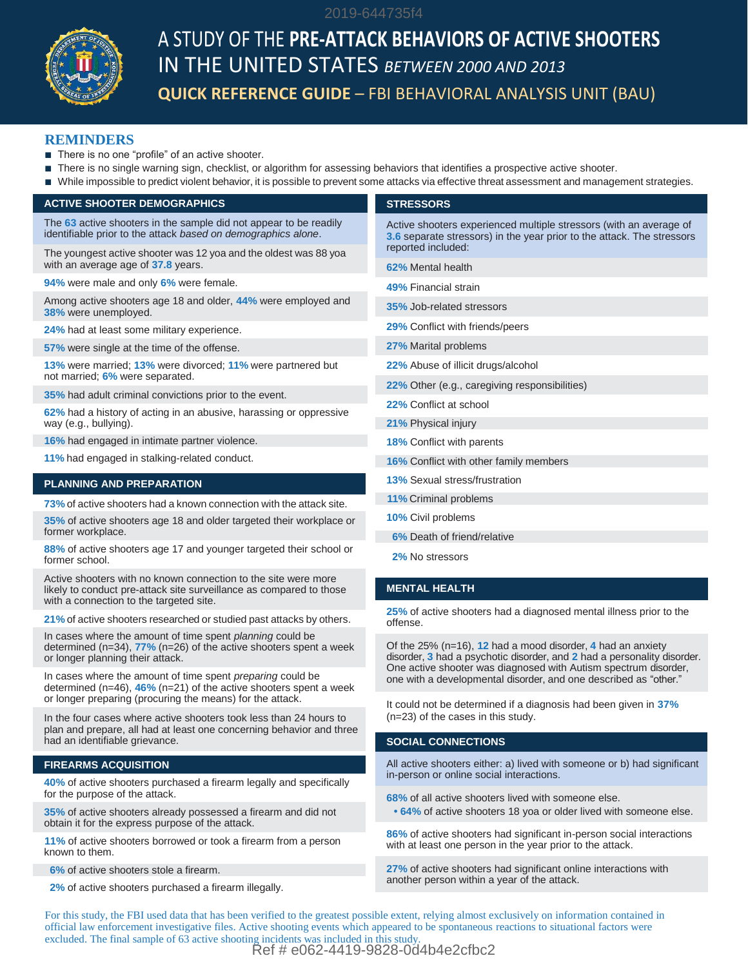

# A STUDY OF THE **PRE-ATTACK BEHAVIORS OF ACTIVE SHOOTERS** IN THE UNITED STATES *BETWEEN 2000 AND 2013* **QUICK REFERENCE GUIDE** – FBI BEHAVIORAL ANALYSIS UNIT (BAU)

## **REMINDERS**

- There is no one "profile" of an active shooter.
- There is no single warning sign, checklist, or algorithm for assessing behaviors that identifies a prospective active shooter.
- While impossible to predict violent behavior, it is possible to prevent some attacks via effective threat assessment and management strategies.

2019-644735f4

# **ACTIVE SHOOTER DEMOGRAPHICS**

The **63** active shooters in the sample did not appear to be readily identifiable prior to the attack *based on demographics alone*.

The youngest active shooter was 12 yoa and the oldest was 88 yoa with an average age of **37.8** years.

**94%** were male and only **6%** were female. **49%** Financial strain

Among active shooters age 18 and older, 44% were employed and **35%** Job-related stressors **38%** were unemployed.

**29%** Conflict with friends/peers **24%** had at least some military experience.

**57%** were single at the time of the offense. **27%** Marital problems

**13%** were married; **13%** were divorced; **11%** were partnered but not married; **6%** were separated.

**35%** had adult criminal convictions prior to the event.

**62%** had a history of acting in an abusive, harassing or oppressive way (e.g., bullying).

 **16%** had engaged in intimate partner violence.

**11%** had engaged in stalking-related conduct.

#### **PLANNING AND PREPARATION**

**73%** of active shooters had a known connection with the attack site.

**35%** of active shooters age 18 and older targeted their workplace or former workplace.

**88%** of active shooters age 17 and younger targeted their school or former school.

Active shooters with no known connection to the site were more likely to conduct pre-attack site surveillance as compared to those with a connection to the targeted site.

**21%** of active shooters researched or studied past attacks by others.

In cases where the amount of time spent *planning* could be determined (n=34), **77%** (n=26) of the active shooters spent a week or longer planning their attack.

In cases where the amount of time spent *preparing* could be determined (n=46), **46%** (n=21) of the active shooters spent a week or longer preparing (procuring the means) for the attack. It could not be determined if a diagnosis had been given in **37%**

In the four cases where active shooters took less than 24 hours to plan and prepare, all had at least one concerning behavior and three had an identifiable grievance.

#### **FIREARMS ACQUISITION**

**40%** of active shooters purchased a firearm legally and specifically for the purpose of the attack.

**35%** of active shooters already possessed a firearm and did not obtain it for the express purpose of the attack.

11% of active shooters borrowed or took a firearm from a person with at least one person in the year prior to the attack. known to them.

**6%** of active shooters stole a firearm.

**2%** of active shooters purchased a firearm illegally.

#### **STRESSORS**

Active shooters experienced multiple stressors (with an average of **3.6** separate stressors) in the year prior to the attack. The stressors reported included:

**62%** Mental health

**22%** Abuse of illicit drugs/alcohol

**22%** Other (e.g., caregiving responsibilities)

**22%** Conflict at school

 **21%** Physical injury

**18%** Conflict with parents

 **16%** Conflict with other family members

**13%** Sexual stress/frustration

 **11%** Criminal problems

- **10%** Civil problems
- **6%** Death of friend/relative
- **2%** No stressors

### **MENTAL HEALTH**

**25%** of active shooters had a diagnosed mental illness prior to the

Of the 25% (n=16), **12** had a mood disorder, **4** had an anxiety disorder, **3** had a psychotic disorder, and **2** had a personality disorder. One active shooter was diagnosed with Autism spectrum disorder, one with a developmental disorder, and one described as "other."

(n=23) of the cases in this study.

#### **SOCIAL CONNECTIONS**

All active shooters either: a) lived with someone or b) had significant in-person or online social interactions.

**68%** of all active shooters lived with someone else.

**• 64%** of active shooters 18 yoa or older lived with someone else.

**86%** of active shooters had significant in-person social interactions

**27%** of active shooters had significant online interactions with another person within a year of the attack.

For this study, the FBI used data that has been verified to the greatest possible extent, relying almost exclusively on information contained in official law enforcement investigative files. Active shooting events which appeared to be spontaneous reactions to situational factors were excluded. The final sample of 63 active shooting incidents was included in this study.

Ref # e062-4419-9828-0d4b4e2cfbc2